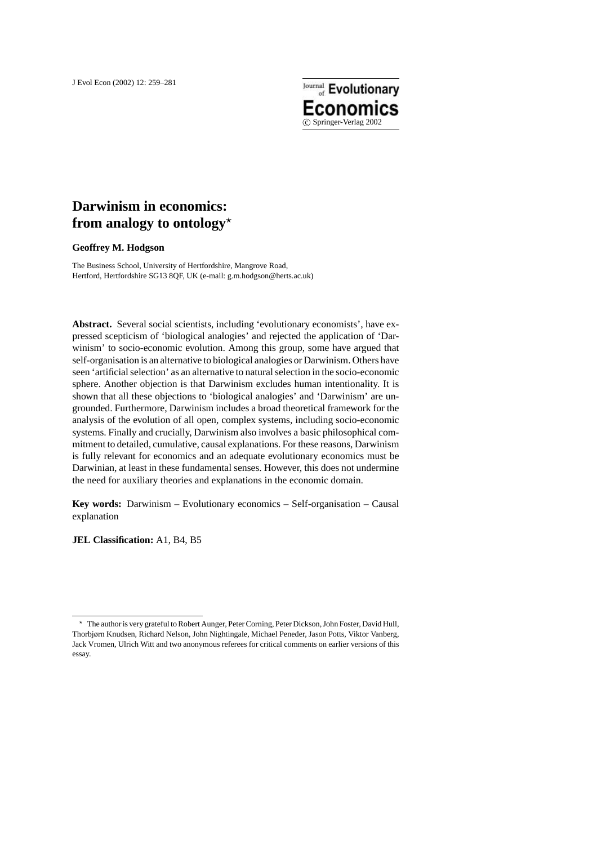## Journal Evolutionary conon c Springer-Verlag 2002

# **Darwinism in economics: from analogy to ontology**

## **Geoffrey M. Hodgson**

The Business School, University of Hertfordshire, Mangrove Road, Hertford, Hertfordshire SG13 8QF, UK (e-mail: g.m.hodgson@herts.ac.uk)

Abstract. Several social scientists, including 'evolutionary economists', have expressed scepticism of 'biological analogies' and rejected the application of 'Darwinism' to socio-economic evolution. Among this group, some have argued that self-organisation is an alternative to biological analogies or Darwinism. Others have seen 'artificial selection' as an alternative to natural selection in the socio-economic sphere. Another objection is that Darwinism excludes human intentionality. It is shown that all these objections to 'biological analogies' and 'Darwinism' are ungrounded. Furthermore,Darwinism includes a broad theoretical framework for the analysis of the evolution of all open, complex systems, including socio-economic systems. Finally and crucially, Darwinism also involves a basic philosophical commitment to detailed, cumulative, causal explanations. For these reasons, Darwinism is fully relevant for economics and an adequate evolutionary economics must be Darwinian, at least in these fundamental senses. However, this does not undermine the need for auxiliary theories and explanations in the economic domain.

**Key words:** Darwinism – Evolutionary economics – Self-organisation – Causal explanation

**JEL Classification:** A1, B4, B5

<sup>\*</sup> The author is very grateful to Robert Aunger, Peter Corning, Peter Dickson, John Foster, David Hull, Thorbjørn Knudsen, Richard Nelson, John Nightingale, Michael Peneder, Jason Potts, Viktor Vanberg, Jack Vromen,Ulrich Witt and two anonymous referees for critical comments on earlier versions of this essay.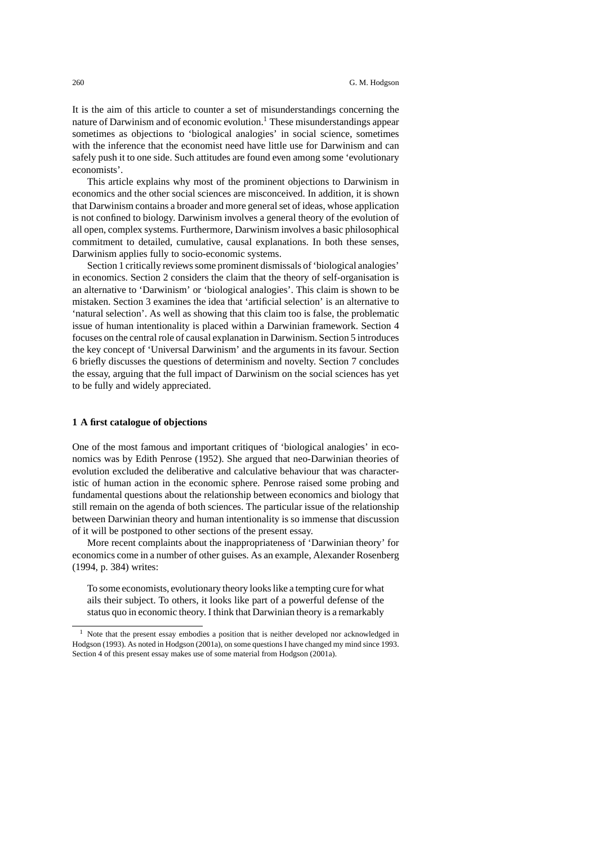It is the aim of this article to counter a set of misunderstandings concerning the nature of Darwinism and of economic evolution.<sup>1</sup> These misunderstandings appear sometimes as objections to 'biological analogies' in social science, sometimes with the inference that the economist need have little use for Darwinism and can safely push it to one side. Such attitudes are found even among some 'evolutionary economists'.

This article explains why most of the prominent objections to Darwinism in economics and the other social sciences are misconceived. In addition, it is shown that Darwinism contains a broader and more general set of ideas, whose application is not confined to biology. Darwinism involves a general theory of the evolution of all open, complex systems. Furthermore, Darwinism involves a basic philosophical commitment to detailed, cumulative, causal explanations. In both these senses, Darwinism applies fully to socio-economic systems.

Section 1 critically reviews some prominent dismissals of 'biological analogies' in economics. Section 2 considers the claim that the theory of self-organisation is an alternative to 'Darwinism' or 'biological analogies'. This claim is shown to be mistaken. Section 3 examines the idea that 'artificial selection' is an alternative to 'natural selection'. As well as showing that this claim too is false, the problematic issue of human intentionality is placed within a Darwinian framework. Section 4 focuses on the central role of causal explanation in Darwinism. Section 5 introduces the key concept of 'Universal Darwinism' and the arguments in its favour. Section 6 briefly discusses the questions of determinism and novelty. Section 7 concludes the essay, arguing that the full impact of Darwinism on the social sciences has yet to be fully and widely appreciated.

#### **1 A first catalogue of objections**

One of the most famous and important critiques of 'biological analogies' in economics was by Edith Penrose (1952). She argued that neo-Darwinian theories of evolution excluded the deliberative and calculative behaviour that was characteristic of human action in the economic sphere. Penrose raised some probing and fundamental questions about the relationship between economics and biology that still remain on the agenda of both sciences. The particular issue of the relationship between Darwinian theory and human intentionality is so immense that discussion of it will be postponed to other sections of the present essay.

More recent complaints about the inappropriateness of 'Darwinian theory' for economics come in a number of other guises. As an example,Alexander Rosenberg (1994,p. 384) writes:

To some economists, evolutionary theory looks like a tempting cure for what ails their subject. To others, it looks like part of a powerful defense of the status quo in economic theory. I think that Darwinian theory is a remarkably

 $<sup>1</sup>$  Note that the present essay embodies a position that is neither developed nor acknowledged in</sup> Hodgson (1993). As noted in Hodgson (2001a), on some questions I have changed my mind since 1993. Section 4 of this present essay makes use of some material from Hodgson (2001a).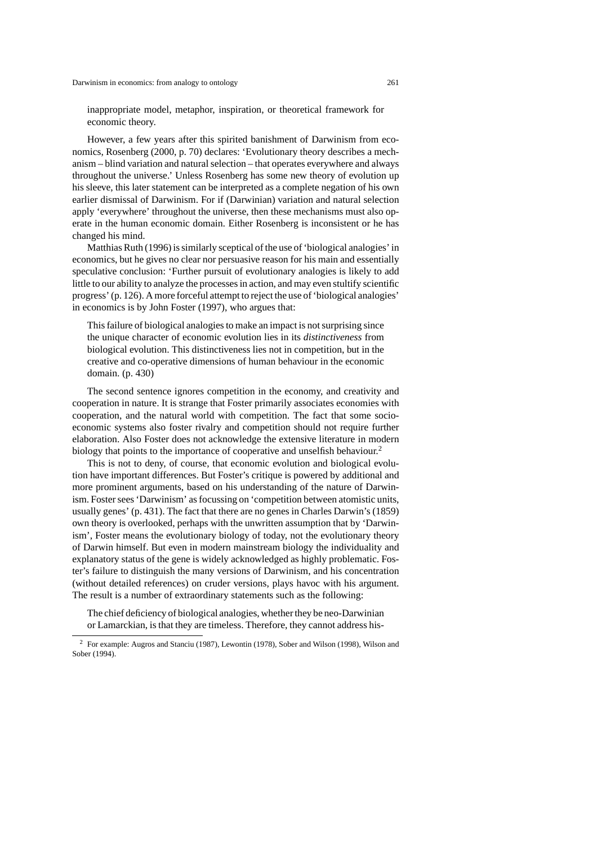inappropriate model, metaphor, inspiration, or theoretical framework for economic theory.

However, a few years after this spirited banishment of Darwinism from economics, Rosenberg (2000, p. 70) declares: 'Evolutionary theory describes a mechanism – blind variation and natural selection – that operates everywhere and always throughout the universe.' Unless Rosenberg has some new theory of evolution up his sleeve, this later statement can be interpreted as a complete negation of his own earlier dismissal of Darwinism. For if (Darwinian) variation and natural selection apply 'everywhere' throughout the universe, then these mechanisms must also operate in the human economic domain. Either Rosenberg is inconsistent or he has changed his mind.

Matthias Ruth (1996) is similarly sceptical of the use of 'biological analogies' in economics,but he gives no clear nor persuasive reason for his main and essentially speculative conclusion: 'Further pursuit of evolutionary analogies is likely to add little to our ability to analyze the processes in action, and may even stultify scientific progress' (p. 126). A more forceful attempt to reject the use of 'biological analogies' in economics is by John Foster (1997), who argues that:

This failure of biological analogies to make an impact is not surprising since the unique character of economic evolution lies in its *distinctiveness* from biological evolution. This distinctiveness lies not in competition, but in the creative and co-operative dimensions of human behaviour in the economic domain. (p. 430)

The second sentence ignores competition in the economy, and creativity and cooperation in nature. It is strange that Foster primarily associates economies with cooperation, and the natural world with competition. The fact that some socioeconomic systems also foster rivalry and competition should not require further elaboration. Also Foster does not acknowledge the extensive literature in modern biology that points to the importance of cooperative and unselfish behaviour.<sup>2</sup>

This is not to deny, of course, that economic evolution and biological evolution have important differences. But Foster's critique is powered by additional and more prominent arguments, based on his understanding of the nature of Darwinism. Foster sees 'Darwinism' as focussing on 'competition between atomistic units, usually genes' (p. 431). The fact that there are no genes in Charles Darwin's (1859) own theory is overlooked, perhaps with the unwritten assumption that by 'Darwinism', Foster means the evolutionary biology of today, not the evolutionary theory of Darwin himself. But even in modern mainstream biology the individuality and explanatory status of the gene is widely acknowledged as highly problematic. Foster's failure to distinguish the many versions of Darwinism, and his concentration (without detailed references) on cruder versions, plays havoc with his argument. The result is a number of extraordinary statements such as the following:

The chief deficiency of biological analogies, whether they be neo-Darwinian or Lamarckian, is that they are timeless. Therefore, they cannot address his-

 $2$  For example: Augros and Stanciu (1987), Lewontin (1978), Sober and Wilson (1998), Wilson and Sober (1994).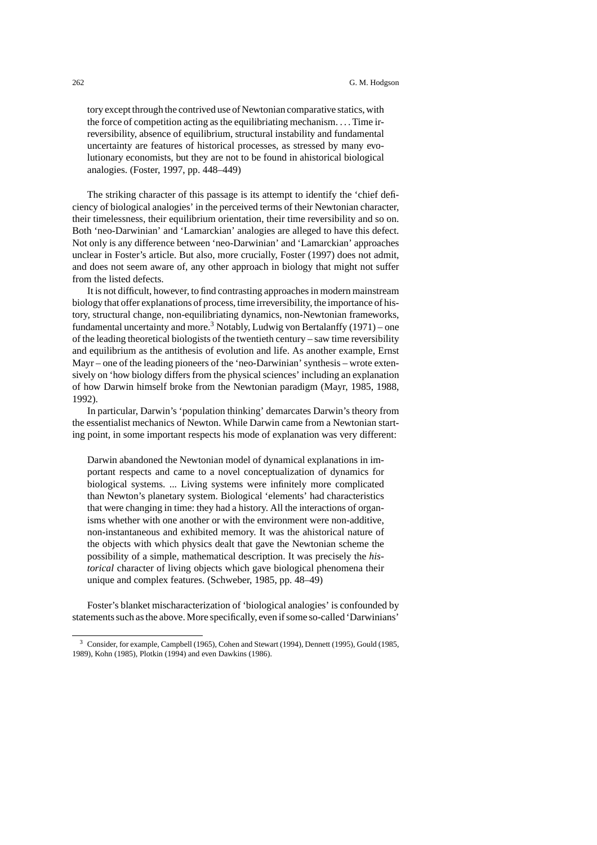tory except through the contrived use of Newtonian comparative statics, with the force of competition acting as the equilibriating mechanism. . . . Time irreversibility, absence of equilibrium, structural instability and fundamental uncertainty are features of historical processes, as stressed by many evolutionary economists, but they are not to be found in ahistorical biological analogies. (Foster,1997,pp. 448–449)

The striking character of this passage is its attempt to identify the 'chief deficiency of biological analogies' in the perceived terms of their Newtonian character, their timelessness, their equilibrium orientation, their time reversibility and so on. Both 'neo-Darwinian' and 'Lamarckian' analogies are alleged to have this defect. Not only is any difference between 'neo-Darwinian' and 'Lamarckian' approaches unclear in Foster's article. But also, more crucially, Foster (1997) does not admit, and does not seem aware of, any other approach in biology that might not suffer from the listed defects.

It is not difficult, however, to find contrasting approaches in modern mainstream biology that offer explanations of process, time irreversibility, the importance of history, structural change, non-equilibriating dynamics, non-Newtonian frameworks, fundamental uncertainty and more.<sup>3</sup> Notably, Ludwig von Bertalanffy (1971) – one of the leading theoretical biologists of the twentieth century – saw time reversibility and equilibrium as the antithesis of evolution and life. As another example, Ernst Mayr – one of the leading pioneers of the 'neo-Darwinian' synthesis – wrote extensively on 'how biology differs from the physical sciences' including an explanation of how Darwin himself broke from the Newtonian paradigm (Mayr,1985,1988, 1992).

In particular,Darwin's 'population thinking' demarcates Darwin's theory from the essentialist mechanics of Newton. While Darwin came from a Newtonian starting point, in some important respects his mode of explanation was very different:

Darwin abandoned the Newtonian model of dynamical explanations in important respects and came to a novel conceptualization of dynamics for biological systems. ... Living systems were infinitely more complicated than Newton's planetary system. Biological 'elements' had characteristics that were changing in time: they had a history. All the interactions of organisms whether with one another or with the environment were non-additive, non-instantaneous and exhibited memory. It was the ahistorical nature of the objects with which physics dealt that gave the Newtonian scheme the possibility of a simple, mathematical description. It was precisely the *historical* character of living objects which gave biological phenomena their unique and complex features. (Schweber, 1985, pp. 48–49)

Foster's blanket mischaracterization of 'biological analogies' is confounded by statements such as the above. More specifically, even if some so-called 'Darwinians'

<sup>&</sup>lt;sup>3</sup> Consider, for example, Campbell (1965), Cohen and Stewart (1994), Dennett (1995), Gould (1985, 1989), Kohn (1985), Plotkin (1994) and even Dawkins (1986).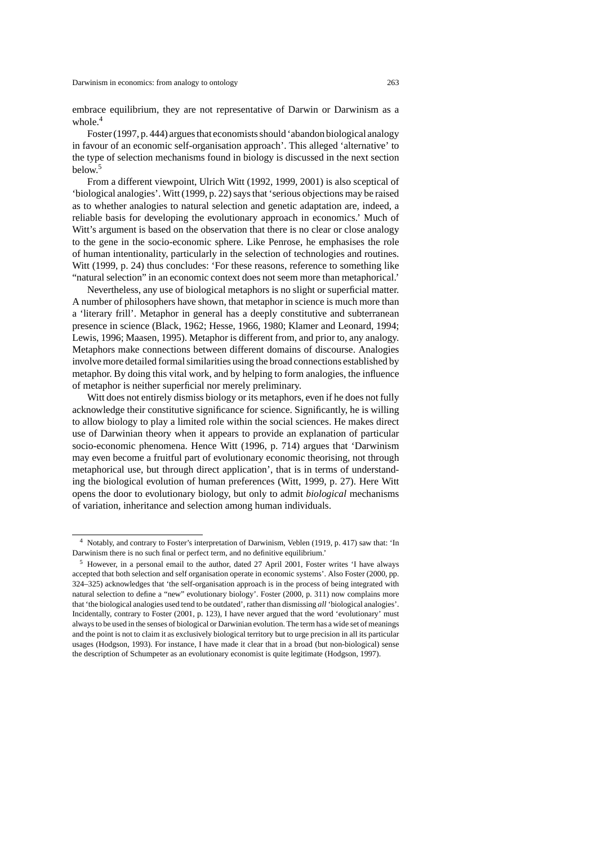embrace equilibrium, they are not representative of Darwin or Darwinism as a whole  $4$ 

Foster (1997,p. 444) argues that economists should 'abandon biological analogy in favour of an economic self-organisation approach'. This alleged 'alternative' to the type of selection mechanisms found in biology is discussed in the next section below.<sup>5</sup>

From a different viewpoint, Ulrich Witt (1992, 1999, 2001) is also sceptical of 'biological analogies'. Witt (1999,p. 22) says that 'serious objections may be raised as to whether analogies to natural selection and genetic adaptation are, indeed, a reliable basis for developing the evolutionary approach in economics.' Much of Witt's argument is based on the observation that there is no clear or close analogy to the gene in the socio-economic sphere. Like Penrose, he emphasises the role of human intentionality,particularly in the selection of technologies and routines. Witt (1999, p. 24) thus concludes: 'For these reasons, reference to something like "natural selection" in an economic context does not seem more than metaphorical.'

Nevertheless,any use of biological metaphors is no slight or superficial matter. A number of philosophers have shown, that metaphor in science is much more than a 'literary frill'. Metaphor in general has a deeply constitutive and subterranean presence in science (Black,1962; Hesse,1966,1980; Klamer and Leonard,1994; Lewis, 1996; Maasen, 1995). Metaphor is different from, and prior to, any analogy. Metaphors make connections between different domains of discourse. Analogies involve more detailed formal similarities using the broad connections established by metaphor. By doing this vital work, and by helping to form analogies, the influence of metaphor is neither superficial nor merely preliminary.

Witt does not entirely dismiss biology or its metaphors, even if he does not fully acknowledge their constitutive significance for science. Significantly, he is willing to allow biology to play a limited role within the social sciences. He makes direct use of Darwinian theory when it appears to provide an explanation of particular socio-economic phenomena. Hence Witt (1996, p. 714) argues that 'Darwinism may even become a fruitful part of evolutionary economic theorising, not through metaphorical use, but through direct application', that is in terms of understanding the biological evolution of human preferences (Witt, 1999, p. 27). Here Witt opens the door to evolutionary biology,but only to admit *biological* mechanisms of variation, inheritance and selection among human individuals.

<sup>&</sup>lt;sup>4</sup> Notably, and contrary to Foster's interpretation of Darwinism, Veblen (1919, p. 417) saw that: 'In Darwinism there is no such final or perfect term, and no definitive equilibrium.'

<sup>&</sup>lt;sup>5</sup> However, in a personal email to the author, dated 27 April 2001, Foster writes 'I have always accepted that both selection and self organisation operate in economic systems'. Also Foster (2000,pp. 324–325) acknowledges that 'the self-organisation approach is in the process of being integrated with natural selection to define a "new" evolutionary biology'. Foster (2000, p. 311) now complains more that 'the biological analogies used tend to be outdated', rather than dismissing *all* 'biological analogies'. Incidentally, contrary to Foster (2001, p. 123), I have never argued that the word 'evolutionary' must always to be used in the senses of biological or Darwinian evolution. The term has a wide set of meanings and the point is not to claim it as exclusively biological territory but to urge precision in all its particular usages (Hodgson,1993). For instance,I have made it clear that in a broad (but non-biological) sense the description of Schumpeter as an evolutionary economist is quite legitimate (Hodgson,1997).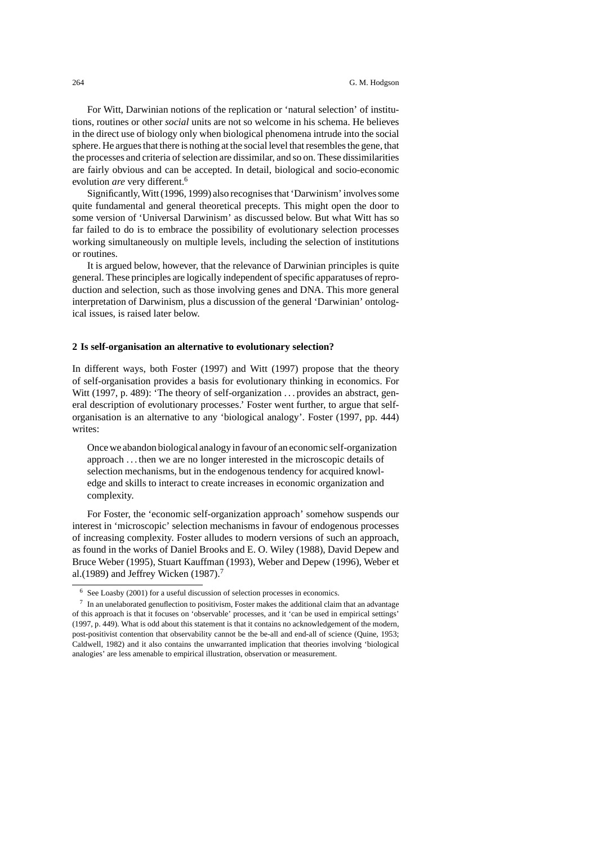For Witt, Darwinian notions of the replication or 'natural selection' of institutions, routines or other *social* units are not so welcome in his schema. He believes in the direct use of biology only when biological phenomena intrude into the social sphere. He argues that there is nothing at the social level that resembles the gene, that the processes and criteria of selection are dissimilar,and so on. These dissimilarities are fairly obvious and can be accepted. In detail, biological and socio-economic evolution *are* very different.<sup>6</sup>

Significantly,Witt (1996,1999) also recognises that 'Darwinism' involves some quite fundamental and general theoretical precepts. This might open the door to some version of 'Universal Darwinism' as discussed below. But what Witt has so far failed to do is to embrace the possibility of evolutionary selection processes working simultaneously on multiple levels, including the selection of institutions or routines.

It is argued below, however, that the relevance of Darwinian principles is quite general. These principles are logically independent of specific apparatuses of reproduction and selection, such as those involving genes and DNA. This more general interpretation of Darwinism, plus a discussion of the general 'Darwinian' ontological issues, is raised later below.

#### **2 Is self-organisation an alternative to evolutionary selection?**

In different ways, both Foster (1997) and Witt (1997) propose that the theory of self-organisation provides a basis for evolutionary thinking in economics. For Witt (1997, p. 489): 'The theory of self-organization  $\dots$  provides an abstract, general description of evolutionary processes.' Foster went further, to argue that selforganisation is an alternative to any 'biological analogy'. Foster (1997, pp. 444) writes:

Once we abandon biological analogy in favour of an economic self-organization approach . . . then we are no longer interested in the microscopic details of selection mechanisms, but in the endogenous tendency for acquired knowledge and skills to interact to create increases in economic organization and complexity.

For Foster, the 'economic self-organization approach' somehow suspends our interest in 'microscopic' selection mechanisms in favour of endogenous processes of increasing complexity. Foster alludes to modern versions of such an approach, as found in the works of Daniel Brooks and E.O. Wiley (1988), David Depew and Bruce Weber (1995), Stuart Kauffman (1993), Weber and Depew (1996), Weber et al.(1989) and Jeffrey Wicken (1987).<sup>7</sup>

<sup>6</sup> See Loasby (2001) for a useful discussion of selection processes in economics.

 $7$  In an unelaborated genuflection to positivism, Foster makes the additional claim that an advantage of this approach is that it focuses on 'observable' processes,and it 'can be used in empirical settings' (1997,p. 449). What is odd about this statement is that it contains no acknowledgement of the modern, post-positivist contention that observability cannot be the be-all and end-all of science (Quine,1953; Caldwell,1982) and it also contains the unwarranted implication that theories involving 'biological analogies' are less amenable to empirical illustration, observation or measurement.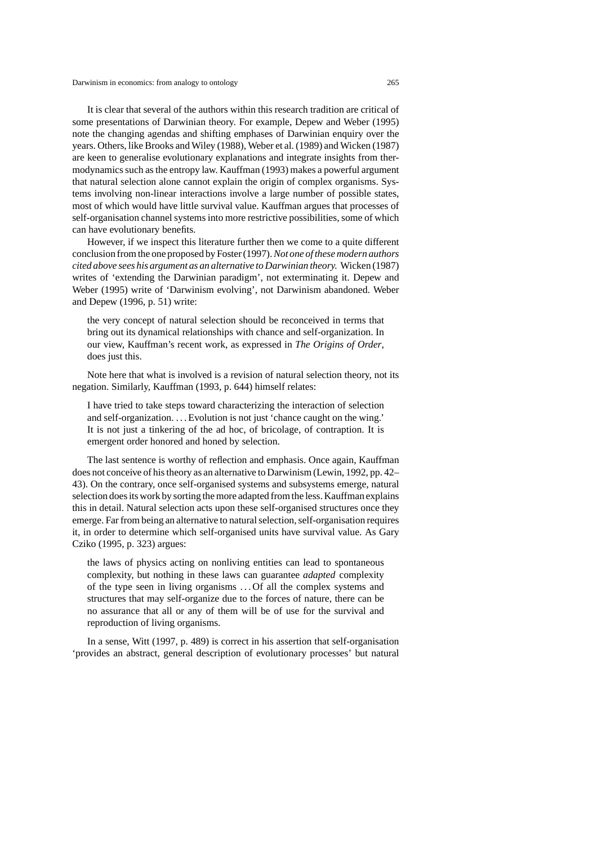It is clear that several of the authors within this research tradition are critical of some presentations of Darwinian theory. For example, Depew and Weber (1995) note the changing agendas and shifting emphases of Darwinian enquiry over the years. Others, like Brooks and Wiley (1988), Weber et al. (1989) and Wicken (1987) are keen to generalise evolutionary explanations and integrate insights from thermodynamics such as the entropy law. Kauffman (1993) makes a powerful argument that natural selection alone cannot explain the origin of complex organisms. Systems involving non-linear interactions involve a large number of possible states, most of which would have little survival value. Kauffman argues that processes of self-organisation channel systems into more restrictive possibilities, some of which can have evolutionary benefits.

However, if we inspect this literature further then we come to a quite different conclusion from the one proposed by Foster (1997).*Not one of these modern authors cited above sees his argument as an alternative to Darwinian theory.* Wicken (1987) writes of 'extending the Darwinian paradigm', not exterminating it. Depew and Weber (1995) write of 'Darwinism evolving', not Darwinism abandoned. Weber and Depew (1996, p. 51) write:

the very concept of natural selection should be reconceived in terms that bring out its dynamical relationships with chance and self-organization. In our view, Kauffman's recent work, as expressed in *The Origins of Order*, does just this.

Note here that what is involved is a revision of natural selection theory, not its negation. Similarly, Kauffman (1993, p. 644) himself relates:

I have tried to take steps toward characterizing the interaction of selection and self-organization. . . . Evolution is not just 'chance caught on the wing.' It is not just a tinkering of the ad hoc, of bricolage, of contraption. It is emergent order honored and honed by selection.

The last sentence is worthy of reflection and emphasis. Once again, Kauffman does not conceive of his theory as an alternative to Darwinism (Lewin,1992,pp. 42– 43). On the contrary, once self-organised systems and subsystems emerge, natural selection does its work by sorting the more adapted from the less. Kauffman explains this in detail. Natural selection acts upon these self-organised structures once they emerge. Far from being an alternative to natural selection, self-organisation requires it, in order to determine which self-organised units have survival value. As Gary Cziko (1995, p. 323) argues:

the laws of physics acting on nonliving entities can lead to spontaneous complexity, but nothing in these laws can guarantee *adapted* complexity of the type seen in living organisms . . . Of all the complex systems and structures that may self-organize due to the forces of nature, there can be no assurance that all or any of them will be of use for the survival and reproduction of living organisms.

In a sense, Witt (1997, p. 489) is correct in his assertion that self-organisation 'provides an abstract, general description of evolutionary processes' but natural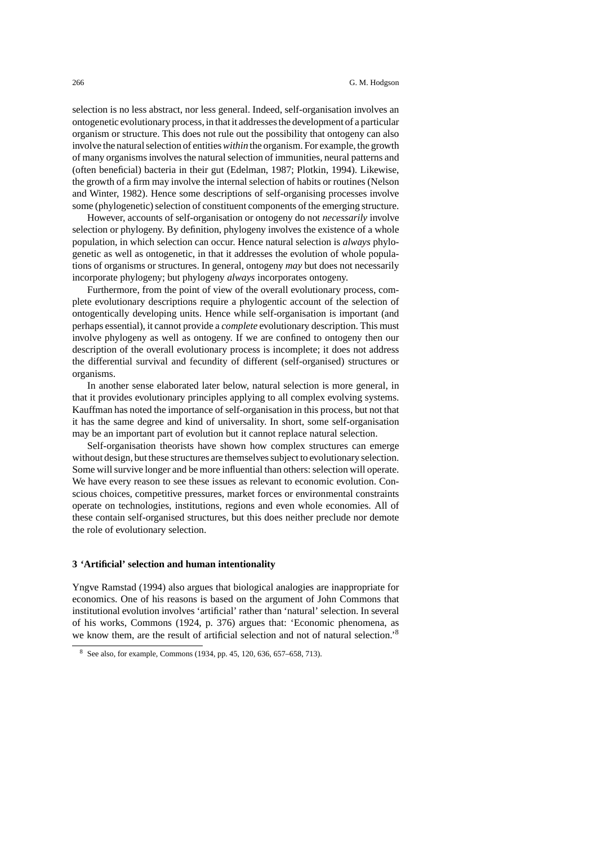selection is no less abstract, nor less general. Indeed, self-organisation involves an ontogenetic evolutionary process,in that it addresses the development of a particular organism or structure. This does not rule out the possibility that ontogeny can also involve the natural selection of entities *within* the organism. For example, the growth of many organisms involves the natural selection of immunities,neural patterns and (often beneficial) bacteria in their gut (Edelman,1987; Plotkin,1994). Likewise, the growth of a firm may involve the internal selection of habits or routines (Nelson and Winter,1982). Hence some descriptions of self-organising processes involve some (phylogenetic) selection of constituent components of the emerging structure.

However, accounts of self-organisation or ontogeny do not *necessarily* involve selection or phylogeny. By definition, phylogeny involves the existence of a whole population,in which selection can occur. Hence natural selection is *always* phylogenetic as well as ontogenetic, in that it addresses the evolution of whole populations of organisms or structures. In general, ontogeny *may* but does not necessarily incorporate phylogeny; but phylogeny *always* incorporates ontogeny.

Furthermore, from the point of view of the overall evolutionary process, complete evolutionary descriptions require a phylogentic account of the selection of ontogentically developing units. Hence while self-organisation is important (and perhaps essential), it cannot provide a *complete* evolutionary description. This must involve phylogeny as well as ontogeny. If we are confined to ontogeny then our description of the overall evolutionary process is incomplete; it does not address the differential survival and fecundity of different (self-organised) structures or organisms.

In another sense elaborated later below, natural selection is more general, in that it provides evolutionary principles applying to all complex evolving systems. Kauffman has noted the importance of self-organisation in this process, but not that it has the same degree and kind of universality. In short, some self-organisation may be an important part of evolution but it cannot replace natural selection.

Self-organisation theorists have shown how complex structures can emerge without design, but these structures are themselves subject to evolutionary selection. Some will survive longer and be more influential than others: selection will operate. We have every reason to see these issues as relevant to economic evolution. Conscious choices, competitive pressures, market forces or environmental constraints operate on technologies, institutions, regions and even whole economies. All of these contain self-organised structures, but this does neither preclude nor demote the role of evolutionary selection.

#### **3 'Artificial' selection and human intentionality**

Yngve Ramstad (1994) also argues that biological analogies are inappropriate for economics. One of his reasons is based on the argument of John Commons that institutional evolution involves 'artificial' rather than 'natural' selection. In several of his works, Commons (1924, p. 376) argues that: 'Economic phenomena, as we know them, are the result of artificial selection and not of natural selection.'<sup>8</sup>

<sup>&</sup>lt;sup>8</sup> See also, for example, Commons (1934, pp. 45, 120, 636, 657–658, 713).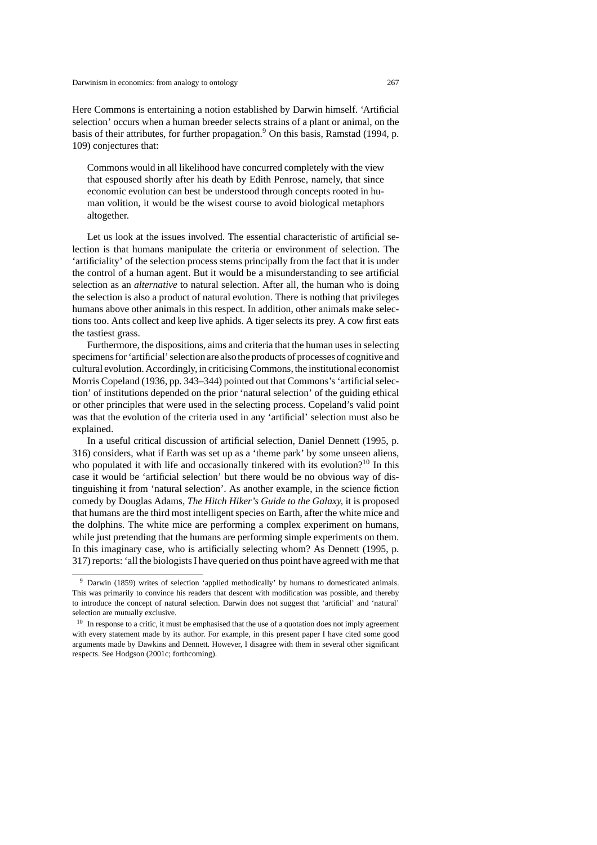Here Commons is entertaining a notion established by Darwin himself. 'Artificial selection' occurs when a human breeder selects strains of a plant or animal, on the basis of their attributes, for further propagation.<sup>9</sup> On this basis, Ramstad (1994, p. 109) conjectures that:

Commons would in all likelihood have concurred completely with the view that espoused shortly after his death by Edith Penrose, namely, that since economic evolution can best be understood through concepts rooted in human volition, it would be the wisest course to avoid biological metaphors altogether.

Let us look at the issues involved. The essential characteristic of artificial selection is that humans manipulate the criteria or environment of selection. The 'artificiality' of the selection process stems principally from the fact that it is under the control of a human agent. But it would be a misunderstanding to see artificial selection as an *alternative* to natural selection. After all, the human who is doing the selection is also a product of natural evolution. There is nothing that privileges humans above other animals in this respect. In addition, other animals make selections too. Ants collect and keep live aphids. A tiger selects its prey. A cow first eats the tastiest grass.

Furthermore, the dispositions, aims and criteria that the human uses in selecting specimens for 'artificial' selection are also the products of processes of cognitive and cultural evolution. Accordingly, in criticising Commons, the institutional economist Morris Copeland (1936, pp. 343–344) pointed out that Commons's 'artificial selection' of institutions depended on the prior 'natural selection' of the guiding ethical or other principles that were used in the selecting process. Copeland's valid point was that the evolution of the criteria used in any 'artificial' selection must also be explained.

In a useful critical discussion of artificial selection, Daniel Dennett (1995, p. 316) considers,what if Earth was set up as a 'theme park' by some unseen aliens, who populated it with life and occasionally tinkered with its evolution?<sup>10</sup> In this case it would be 'artificial selection' but there would be no obvious way of distinguishing it from 'natural selection'. As another example,in the science fiction comedy by Douglas Adams, *The Hitch Hiker's Guide to the Galaxy,* it is proposed that humans are the third most intelligent species on Earth, after the white mice and the dolphins. The white mice are performing a complex experiment on humans, while just pretending that the humans are performing simple experiments on them. In this imaginary case, who is artificially selecting whom? As Dennett (1995, p. 317) reports: 'all the biologists I have queried on thus point have agreed with me that

<sup>&</sup>lt;sup>9</sup> Darwin (1859) writes of selection 'applied methodically' by humans to domesticated animals. This was primarily to convince his readers that descent with modification was possible, and thereby to introduce the concept of natural selection. Darwin does not suggest that 'artificial' and 'natural' selection are mutually exclusive.

 $10$  In response to a critic, it must be emphasised that the use of a quotation does not imply agreement with every statement made by its author. For example, in this present paper I have cited some good arguments made by Dawkins and Dennett. However, I disagree with them in several other significant respects. See Hodgson (2001c; forthcoming).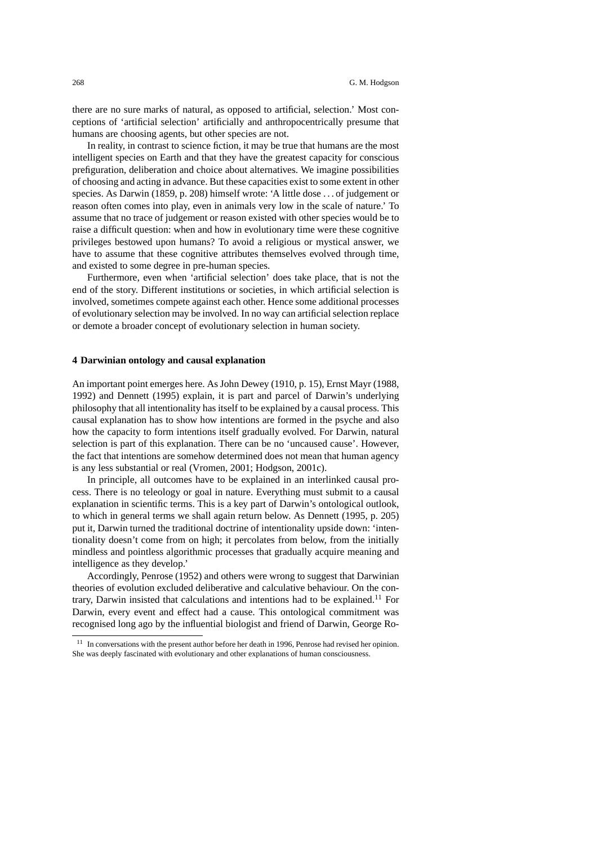there are no sure marks of natural, as opposed to artificial, selection.' Most conceptions of 'artificial selection' artificially and anthropocentrically presume that humans are choosing agents, but other species are not.

In reality, in contrast to science fiction, it may be true that humans are the most intelligent species on Earth and that they have the greatest capacity for conscious prefiguration, deliberation and choice about alternatives. We imagine possibilities of choosing and acting in advance. But these capacities exist to some extent in other species. As Darwin  $(1859, p. 208)$  himself wrote: 'A little dose ... of judgement or reason often comes into play, even in animals very low in the scale of nature.' To assume that no trace of judgement or reason existed with other species would be to raise a difficult question: when and how in evolutionary time were these cognitive privileges bestowed upon humans? To avoid a religious or mystical answer,we have to assume that these cognitive attributes themselves evolved through time, and existed to some degree in pre-human species.

Furthermore, even when 'artificial selection' does take place, that is not the end of the story. Different institutions or societies, in which artificial selection is involved, sometimes compete against each other. Hence some additional processes of evolutionary selection may be involved. In no way can artificial selection replace or demote a broader concept of evolutionary selection in human society.

#### **4 Darwinian ontology and causal explanation**

An important point emerges here. As John Dewey (1910, p. 15), Ernst Mayr (1988, 1992) and Dennett (1995) explain, it is part and parcel of Darwin's underlying philosophy that all intentionality has itself to be explained by a causal process. This causal explanation has to show how intentions are formed in the psyche and also how the capacity to form intentions itself gradually evolved. For Darwin, natural selection is part of this explanation. There can be no 'uncaused cause'. However, the fact that intentions are somehow determined does not mean that human agency is any less substantial or real (Vromen,2001; Hodgson,2001c).

In principle, all outcomes have to be explained in an interlinked causal process. There is no teleology or goal in nature. Everything must submit to a causal explanation in scientific terms. This is a key part of Darwin's ontological outlook, to which in general terms we shall again return below. As Dennett (1995,p. 205) put it,Darwin turned the traditional doctrine of intentionality upside down: 'intentionality doesn't come from on high; it percolates from below, from the initially mindless and pointless algorithmic processes that gradually acquire meaning and intelligence as they develop.'

Accordingly, Penrose (1952) and others were wrong to suggest that Darwinian theories of evolution excluded deliberative and calculative behaviour. On the contrary, Darwin insisted that calculations and intentions had to be explained.<sup>11</sup> For Darwin, every event and effect had a cause. This ontological commitment was recognised long ago by the influential biologist and friend of Darwin,George Ro-

 $11$  In conversations with the present author before her death in 1996, Penrose had revised her opinion. She was deeply fascinated with evolutionary and other explanations of human consciousness.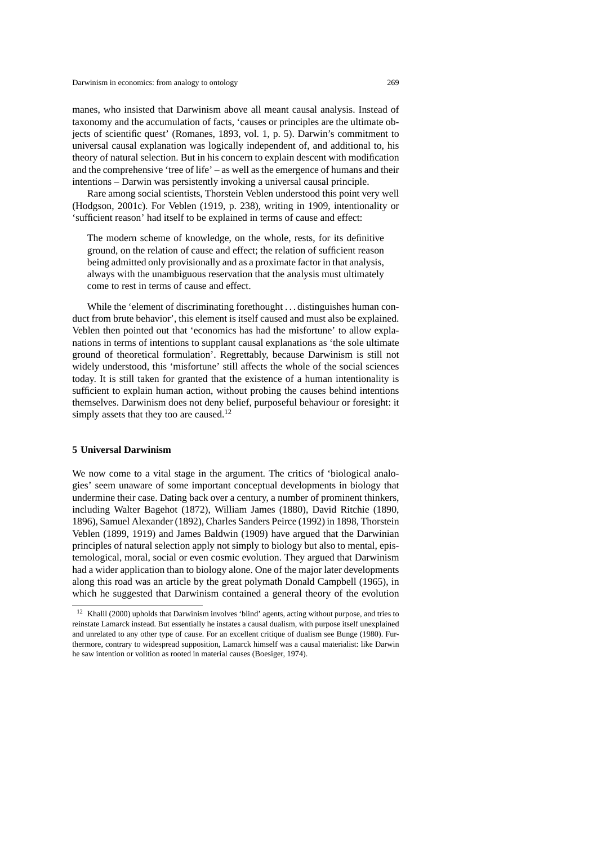manes,who insisted that Darwinism above all meant causal analysis. Instead of taxonomy and the accumulation of facts,'causes or principles are the ultimate objects of scientific quest' (Romanes, 1893, vol. 1, p. 5). Darwin's commitment to universal causal explanation was logically independent of, and additional to, his theory of natural selection. But in his concern to explain descent with modification and the comprehensive 'tree of life' – as well as the emergence of humans and their intentions – Darwin was persistently invoking a universal causal principle.

Rare among social scientists, Thorstein Veblen understood this point very well (Hodgson, 2001c). For Veblen (1919, p. 238), writing in 1909, intentionality or 'sufficient reason' had itself to be explained in terms of cause and effect:

The modern scheme of knowledge, on the whole, rests, for its definitive ground,on the relation of cause and effect; the relation of sufficient reason being admitted only provisionally and as a proximate factor in that analysis, always with the unambiguous reservation that the analysis must ultimately come to rest in terms of cause and effect.

While the 'element of discriminating forethought . . . distinguishes human conduct from brute behavior', this element is itself caused and must also be explained. Veblen then pointed out that 'economics has had the misfortune' to allow explanations in terms of intentions to supplant causal explanations as 'the sole ultimate ground of theoretical formulation'. Regrettably, because Darwinism is still not widely understood, this 'misfortune' still affects the whole of the social sciences today. It is still taken for granted that the existence of a human intentionality is sufficient to explain human action, without probing the causes behind intentions themselves. Darwinism does not deny belief, purposeful behaviour or foresight: it simply assets that they too are caused.<sup>12</sup>

#### **5 Universal Darwinism**

We now come to a vital stage in the argument. The critics of 'biological analogies' seem unaware of some important conceptual developments in biology that undermine their case. Dating back over a century, a number of prominent thinkers, including Walter Bagehot (1872), William James (1880), David Ritchie (1890, 1896),Samuel Alexander (1892),Charles Sanders Peirce (1992) in 1898,Thorstein Veblen (1899, 1919) and James Baldwin (1909) have argued that the Darwinian principles of natural selection apply not simply to biology but also to mental, epistemological, moral, social or even cosmic evolution. They argued that Darwinism had a wider application than to biology alone. One of the major later developments along this road was an article by the great polymath Donald Campbell (1965), in which he suggested that Darwinism contained a general theory of the evolution

<sup>&</sup>lt;sup>12</sup> Khalil (2000) upholds that Darwinism involves 'blind' agents, acting without purpose, and tries to reinstate Lamarck instead. But essentially he instates a causal dualism,with purpose itself unexplained and unrelated to any other type of cause. For an excellent critique of dualism see Bunge (1980). Furthermore, contrary to widespread supposition, Lamarck himself was a causal materialist: like Darwin he saw intention or volition as rooted in material causes (Boesiger,1974).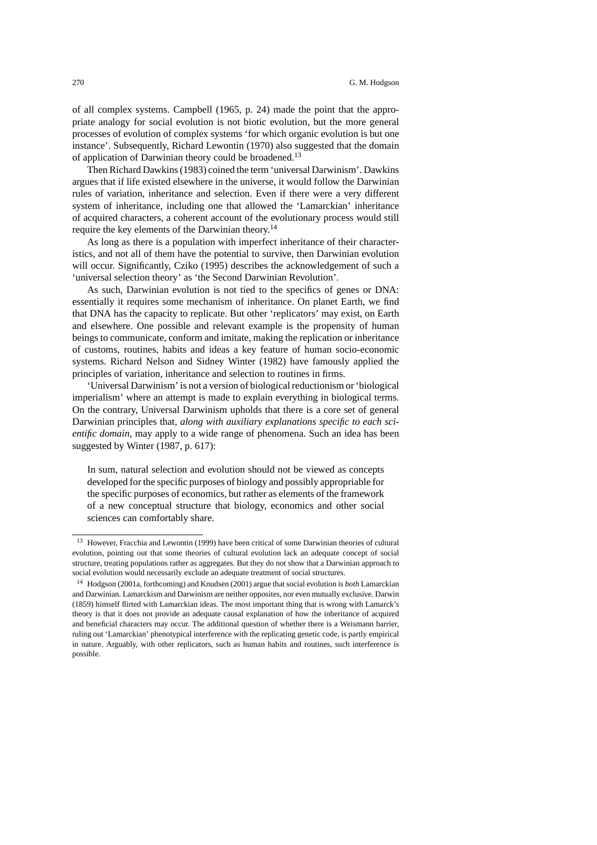of all complex systems. Campbell (1965,p. 24) made the point that the appropriate analogy for social evolution is not biotic evolution, but the more general processes of evolution of complex systems 'for which organic evolution is but one instance'. Subsequently, Richard Lewontin (1970) also suggested that the domain of application of Darwinian theory could be broadened.<sup>13</sup>

Then Richard Dawkins (1983) coined the term 'universal Darwinism'. Dawkins argues that if life existed elsewhere in the universe,it would follow the Darwinian rules of variation, inheritance and selection. Even if there were a very different system of inheritance, including one that allowed the 'Lamarckian' inheritance of acquired characters, a coherent account of the evolutionary process would still require the key elements of the Darwinian theory.<sup>14</sup>

As long as there is a population with imperfect inheritance of their characteristics, and not all of them have the potential to survive, then Darwinian evolution will occur. Significantly, Cziko (1995) describes the acknowledgement of such a 'universal selection theory' as 'the Second Darwinian Revolution'.

As such, Darwinian evolution is not tied to the specifics of genes or DNA: essentially it requires some mechanism of inheritance. On planet Earth, we find that DNA has the capacity to replicate. But other 'replicators' may exist,on Earth and elsewhere. One possible and relevant example is the propensity of human beings to communicate, conform and imitate, making the replication or inheritance of customs, routines, habits and ideas a key feature of human socio-economic systems. Richard Nelson and Sidney Winter (1982) have famously applied the principles of variation, inheritance and selection to routines in firms.

'Universal Darwinism' is not a version of biological reductionism or 'biological imperialism' where an attempt is made to explain everything in biological terms. On the contrary,Universal Darwinism upholds that there is a core set of general Darwinian principles that, *along with auxiliary explanations specific to each scientific domain*, may apply to a wide range of phenomena. Such an idea has been suggested by Winter (1987, p. 617):

In sum, natural selection and evolution should not be viewed as concepts developed for the specific purposes of biology and possibly appropriable for the specific purposes of economics, but rather as elements of the framework of a new conceptual structure that biology, economics and other social sciences can comfortably share.

<sup>&</sup>lt;sup>13</sup> However, Fracchia and Lewontin (1999) have been critical of some Darwinian theories of cultural evolution, pointing out that some theories of cultural evolution lack an adequate concept of social structure, treating populations rather as aggregates. But they do not show that a Darwinian approach to social evolution would necessarily exclude an adequate treatment of social structures.

<sup>14</sup> Hodgson (2001a,forthcoming) and Knudsen (2001) argue that social evolution is *both* Lamarckian and Darwinian. Lamarckism and Darwinism are neither opposites, nor even mutually exclusive. Darwin (1859) himself flirted with Lamarckian ideas. The most important thing that is wrong with Lamarck's theory is that it does not provide an adequate causal explanation of how the inheritance of acquired and beneficial characters may occur. The additional question of whether there is a Weismann barrier, ruling out 'Lamarckian' phenotypical interference with the replicating genetic code,is partly empirical in nature. Arguably, with other replicators, such as human habits and routines, such interference is possible.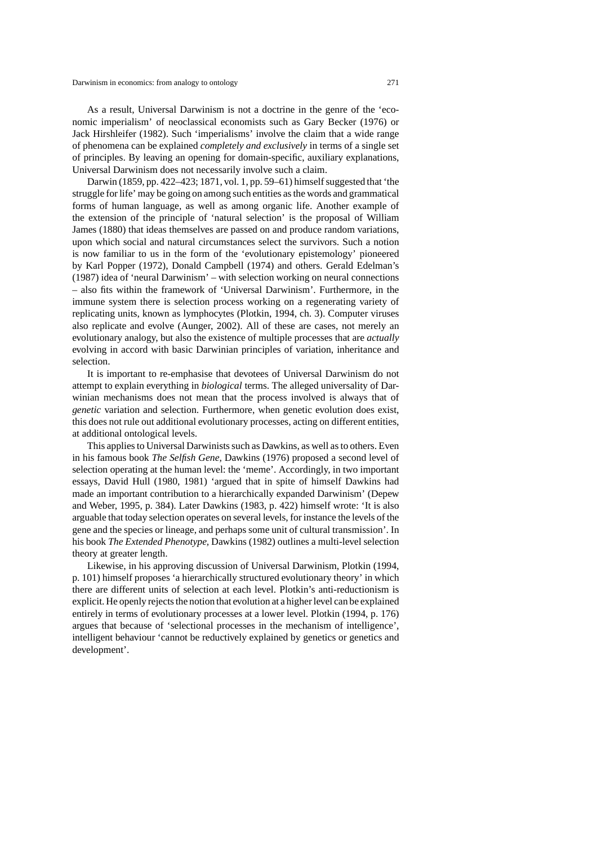Darwinism in economics: from analogy to ontology 271

As a result, Universal Darwinism is not a doctrine in the genre of the 'economic imperialism' of neoclassical economists such as Gary Becker (1976) or Jack Hirshleifer (1982). Such 'imperialisms' involve the claim that a wide range of phenomena can be explained *completely and exclusively* in terms of a single set of principles. By leaving an opening for domain-specific, auxiliary explanations, Universal Darwinism does not necessarily involve such a claim.

Darwin (1859,pp. 422–423; 1871,vol. 1,pp. 59–61) himself suggested that 'the struggle for life' may be going on among such entities as the words and grammatical forms of human language, as well as among organic life. Another example of the extension of the principle of 'natural selection' is the proposal of William James (1880) that ideas themselves are passed on and produce random variations, upon which social and natural circumstances select the survivors. Such a notion is now familiar to us in the form of the 'evolutionary epistemology' pioneered by Karl Popper (1972), Donald Campbell (1974) and others. Gerald Edelman's (1987) idea of 'neural Darwinism' – with selection working on neural connections  $-$  also fits within the framework of 'Universal Darwinism'. Furthermore, in the immune system there is selection process working on a regenerating variety of replicating units, known as lymphocytes (Plotkin, 1994, ch. 3). Computer viruses also replicate and evolve (Aunger, 2002). All of these are cases, not merely an evolutionary analogy, but also the existence of multiple processes that are *actually* evolving in accord with basic Darwinian principles of variation, inheritance and selection.

It is important to re-emphasise that devotees of Universal Darwinism do not attempt to explain everything in *biological* terms. The alleged universality of Darwinian mechanisms does not mean that the process involved is always that of *genetic* variation and selection. Furthermore, when genetic evolution does exist, this does not rule out additional evolutionary processes, acting on different entities, at additional ontological levels.

This applies to Universal Darwinists such as Dawkins, as well as to others. Even in his famous book *The Selfish Gene,* Dawkins (1976) proposed a second level of selection operating at the human level: the 'meme'. Accordingly, in two important essays, David Hull (1980, 1981) 'argued that in spite of himself Dawkins had made an important contribution to a hierarchically expanded Darwinism' (Depew and Weber,1995,p. 384). Later Dawkins (1983,p. 422) himself wrote: 'It is also arguable that today selection operates on several levels,for instance the levels of the gene and the species or lineage, and perhaps some unit of cultural transmission'. In his book *The Extended Phenotype,* Dawkins (1982) outlines a multi-level selection theory at greater length.

Likewise, in his approving discussion of Universal Darwinism, Plotkin (1994, p. 101) himself proposes 'a hierarchically structured evolutionary theory' in which there are different units of selection at each level. Plotkin's anti-reductionism is explicit. He openly rejects the notion that evolution at a higher level can be explained entirely in terms of evolutionary processes at a lower level. Plotkin (1994, p. 176) argues that because of 'selectional processes in the mechanism of intelligence', intelligent behaviour 'cannot be reductively explained by genetics or genetics and development'.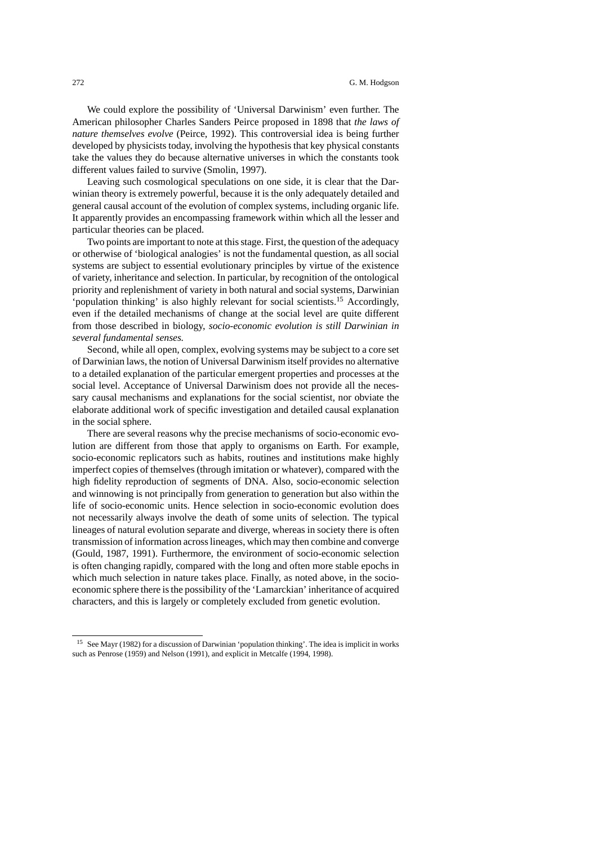We could explore the possibility of 'Universal Darwinism' even further. The American philosopher Charles Sanders Peirce proposed in 1898 that *the laws of nature themselves evolve* (Peirce,1992). This controversial idea is being further developed by physicists today, involving the hypothesis that key physical constants take the values they do because alternative universes in which the constants took different values failed to survive (Smolin,1997).

Leaving such cosmological speculations on one side, it is clear that the Darwinian theory is extremely powerful, because it is the only adequately detailed and general causal account of the evolution of complex systems,including organic life. It apparently provides an encompassing framework within which all the lesser and particular theories can be placed.

Two points are important to note at this stage. First, the question of the adequacy or otherwise of 'biological analogies' is not the fundamental question,as all social systems are subject to essential evolutionary principles by virtue of the existence of variety, inheritance and selection. In particular, by recognition of the ontological priority and replenishment of variety in both natural and social systems, Darwinian 'population thinking' is also highly relevant for social scientists.<sup>15</sup> Accordingly, even if the detailed mechanisms of change at the social level are quite different from those described in biology, *socio-economic evolution is still Darwinian in several fundamental senses.*

Second, while all open, complex, evolving systems may be subject to a core set of Darwinian laws, the notion of Universal Darwinism itself provides no alternative to a detailed explanation of the particular emergent properties and processes at the social level. Acceptance of Universal Darwinism does not provide all the necessary causal mechanisms and explanations for the social scientist, nor obviate the elaborate additional work of specific investigation and detailed causal explanation in the social sphere.

There are several reasons why the precise mechanisms of socio-economic evolution are different from those that apply to organisms on Earth. For example, socio-economic replicators such as habits, routines and institutions make highly imperfect copies of themselves (through imitation or whatever), compared with the high fidelity reproduction of segments of DNA. Also, socio-economic selection and winnowing is not principally from generation to generation but also within the life of socio-economic units. Hence selection in socio-economic evolution does not necessarily always involve the death of some units of selection. The typical lineages of natural evolution separate and diverge,whereas in society there is often transmission of information across lineages,which may then combine and converge (Gould, 1987, 1991). Furthermore, the environment of socio-economic selection is often changing rapidly, compared with the long and often more stable epochs in which much selection in nature takes place. Finally, as noted above, in the socioeconomic sphere there is the possibility of the 'Lamarckian' inheritance of acquired characters, and this is largely or completely excluded from genetic evolution.

<sup>15</sup> See Mayr (1982) for a discussion of Darwinian 'population thinking'. The idea is implicit in works such as Penrose (1959) and Nelson (1991), and explicit in Metcalfe (1994, 1998).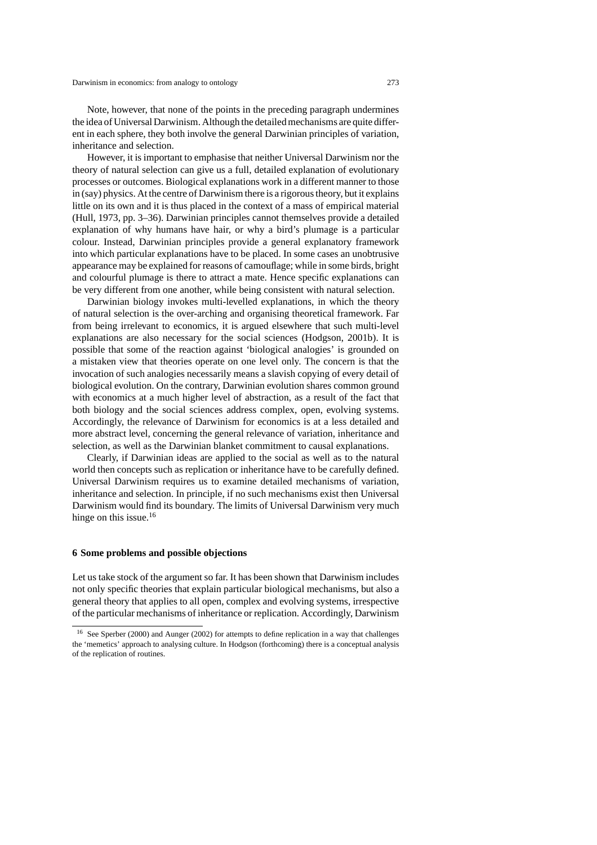Note, however, that none of the points in the preceding paragraph undermines the idea of Universal Darwinism. Although the detailed mechanisms are quite different in each sphere, they both involve the general Darwinian principles of variation, inheritance and selection.

However, it is important to emphasise that neither Universal Darwinism nor the theory of natural selection can give us a full, detailed explanation of evolutionary processes or outcomes. Biological explanations work in a different manner to those in (say) physics. At the centre of Darwinism there is a rigorous theory, but it explains little on its own and it is thus placed in the context of a mass of empirical material (Hull,1973,pp. 3–36). Darwinian principles cannot themselves provide a detailed explanation of why humans have hair, or why a bird's plumage is a particular colour. Instead,Darwinian principles provide a general explanatory framework into which particular explanations have to be placed. In some cases an unobtrusive appearance may be explained for reasons of camouflage; while in some birds, bright and colourful plumage is there to attract a mate. Hence specific explanations can be very different from one another, while being consistent with natural selection.

Darwinian biology invokes multi-levelled explanations, in which the theory of natural selection is the over-arching and organising theoretical framework. Far from being irrelevant to economics, it is argued elsewhere that such multi-level explanations are also necessary for the social sciences (Hodgson,2001b). It is possible that some of the reaction against 'biological analogies' is grounded on a mistaken view that theories operate on one level only. The concern is that the invocation of such analogies necessarily means a slavish copying of every detail of biological evolution. On the contrary, Darwinian evolution shares common ground with economics at a much higher level of abstraction, as a result of the fact that both biology and the social sciences address complex, open, evolving systems. Accordingly, the relevance of Darwinism for economics is at a less detailed and more abstract level, concerning the general relevance of variation, inheritance and selection, as well as the Darwinian blanket commitment to causal explanations.

Clearly, if Darwinian ideas are applied to the social as well as to the natural world then concepts such as replication or inheritance have to be carefully defined. Universal Darwinism requires us to examine detailed mechanisms of variation, inheritance and selection. In principle, if no such mechanisms exist then Universal Darwinism would find its boundary. The limits of Universal Darwinism very much hinge on this issue.<sup>16</sup>

#### **6 Some problems and possible objections**

Let us take stock of the argument so far. It has been shown that Darwinism includes not only specific theories that explain particular biological mechanisms, but also a general theory that applies to all open, complex and evolving systems, irrespective of the particular mechanisms of inheritance or replication. Accordingly, Darwinism

<sup>&</sup>lt;sup>16</sup> See Sperber (2000) and Aunger (2002) for attempts to define replication in a way that challenges the 'memetics' approach to analysing culture. In Hodgson (forthcoming) there is a conceptual analysis of the replication of routines.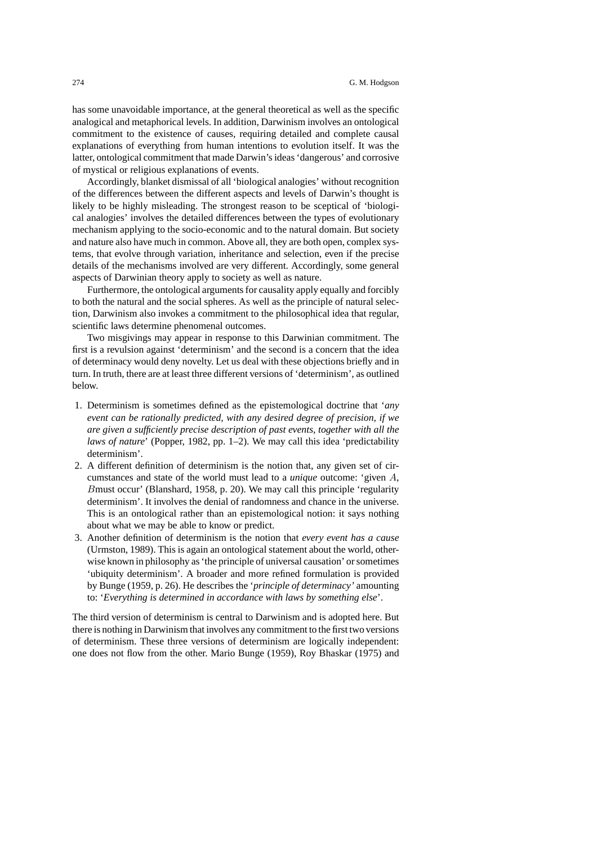has some unavoidable importance, at the general theoretical as well as the specific analogical and metaphorical levels. In addition,Darwinism involves an ontological commitment to the existence of causes, requiring detailed and complete causal explanations of everything from human intentions to evolution itself. It was the latter, ontological commitment that made Darwin's ideas 'dangerous' and corrosive of mystical or religious explanations of events.

Accordingly,blanket dismissal of all 'biological analogies' without recognition of the differences between the different aspects and levels of Darwin's thought is likely to be highly misleading. The strongest reason to be sceptical of 'biological analogies' involves the detailed differences between the types of evolutionary mechanism applying to the socio-economic and to the natural domain. But society and nature also have much in common. Above all, they are both open, complex systems, that evolve through variation, inheritance and selection, even if the precise details of the mechanisms involved are very different. Accordingly, some general aspects of Darwinian theory apply to society as well as nature.

Furthermore, the ontological arguments for causality apply equally and forcibly to both the natural and the social spheres. As well as the principle of natural selection, Darwinism also invokes a commitment to the philosophical idea that regular, scientific laws determine phenomenal outcomes.

Two misgivings may appear in response to this Darwinian commitment. The first is a revulsion against 'determinism' and the second is a concern that the idea of determinacy would deny novelty. Let us deal with these objections briefly and in turn. In truth, there are at least three different versions of 'determinism', as outlined below.

- 1. Determinism is sometimes defined as the epistemological doctrine that '*any event can be rationally predicted, with any desired degree of precision, if we are given a sufficiently precise description of past events, together with all the laws of nature*' (Popper, 1982, pp. 1–2). We may call this idea 'predictability determinism'.
- 2. A different definition of determinism is the notion that, any given set of circumstances and state of the world must lead to a *unique* outcome: 'given A, Bmust occur' (Blanshard, 1958, p. 20). We may call this principle 'regularity determinism'. It involves the denial of randomness and chance in the universe. This is an ontological rather than an epistemological notion: it says nothing about what we may be able to know or predict.
- 3. Another definition of determinism is the notion that *every event has a cause* (Urmston, 1989). This is again an ontological statement about the world, otherwise known in philosophy as 'the principle of universal causation' or sometimes 'ubiquity determinism'. A broader and more refined formulation is provided by Bunge (1959,p. 26). He describes the '*principle of determinacy'* amounting to: '*Everything is determined in accordance with laws by something else*'.

The third version of determinism is central to Darwinism and is adopted here. But there is nothing in Darwinism that involves any commitment to the first two versions of determinism. These three versions of determinism are logically independent: one does not flow from the other. Mario Bunge (1959), Roy Bhaskar (1975) and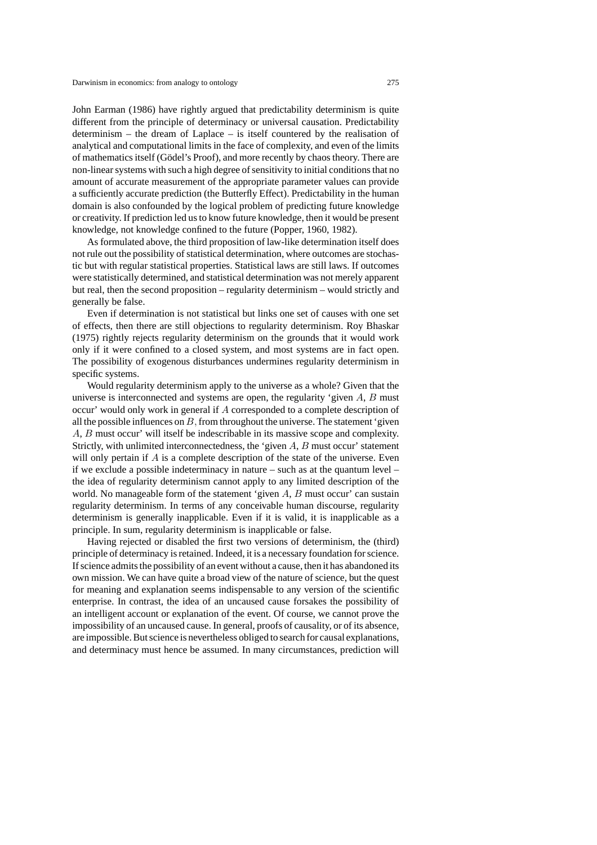John Earman (1986) have rightly argued that predictability determinism is quite different from the principle of determinacy or universal causation. Predictability determinism – the dream of Laplace – is itself countered by the realisation of analytical and computational limits in the face of complexity, and even of the limits of mathematics itself (Gödel's Proof), and more recently by chaos theory. There are non-linear systems with such a high degree of sensitivity to initial conditions that no amount of accurate measurement of the appropriate parameter values can provide a sufficiently accurate prediction (the Butterfly Effect). Predictability in the human domain is also confounded by the logical problem of predicting future knowledge or creativity. If prediction led us to know future knowledge, then it would be present knowledge, not knowledge confined to the future (Popper, 1960, 1982).

As formulated above, the third proposition of law-like determination itself does not rule out the possibility of statistical determination,where outcomes are stochastic but with regular statistical properties. Statistical laws are still laws. If outcomes were statistically determined,and statistical determination was not merely apparent but real, then the second proposition – regularity determinism – would strictly and generally be false.

Even if determination is not statistical but links one set of causes with one set of effects, then there are still objections to regularity determinism. Roy Bhaskar (1975) rightly rejects regularity determinism on the grounds that it would work only if it were confined to a closed system, and most systems are in fact open. The possibility of exogenous disturbances undermines regularity determinism in specific systems.

Would regularity determinism apply to the universe as a whole? Given that the universe is interconnected and systems are open, the regularity 'given  $A$ ,  $B$  must occur' would only work in general if A corresponded to a complete description of all the possible influences on  $B$ , from throughout the universe. The statement 'given A, B must occur' will itself be indescribable in its massive scope and complexity. Strictly, with unlimited interconnectedness, the 'given  $A$ ,  $B$  must occur' statement will only pertain if A is a complete description of the state of the universe. Even if we exclude a possible indeterminacy in nature – such as at the quantum level – the idea of regularity determinism cannot apply to any limited description of the world. No manageable form of the statement 'given A, B must occur' can sustain regularity determinism. In terms of any conceivable human discourse, regularity determinism is generally inapplicable. Even if it is valid, it is inapplicable as a principle. In sum, regularity determinism is inapplicable or false.

Having rejected or disabled the first two versions of determinism, the (third) principle of determinacy is retained. Indeed, it is a necessary foundation for science. If science admits the possibility of an event without a cause, then it has abandoned its own mission. We can have quite a broad view of the nature of science, but the quest for meaning and explanation seems indispensable to any version of the scientific enterprise. In contrast, the idea of an uncaused cause forsakes the possibility of an intelligent account or explanation of the event. Of course, we cannot prove the impossibility of an uncaused cause. In general, proofs of causality, or of its absence, are impossible. But science is nevertheless obliged to search for causal explanations, and determinacy must hence be assumed. In many circumstances, prediction will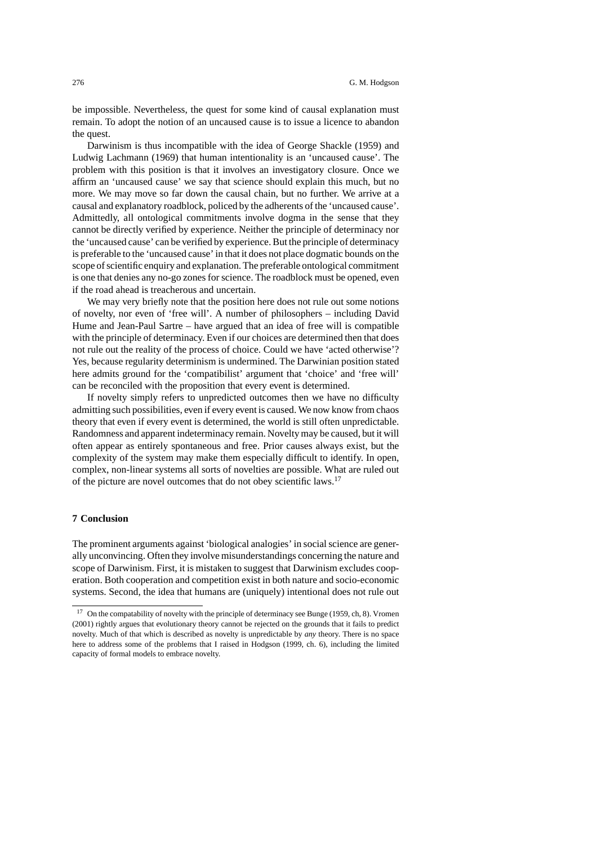be impossible. Nevertheless, the quest for some kind of causal explanation must remain. To adopt the notion of an uncaused cause is to issue a licence to abandon the quest.

Darwinism is thus incompatible with the idea of George Shackle (1959) and Ludwig Lachmann (1969) that human intentionality is an 'uncaused cause'. The problem with this position is that it involves an investigatory closure. Once we affirm an 'uncaused cause' we say that science should explain this much, but no more. We may move so far down the causal chain, but no further. We arrive at a causal and explanatory roadblock, policed by the adherents of the 'uncaused cause'. Admittedly, all ontological commitments involve dogma in the sense that they cannot be directly verified by experience. Neither the principle of determinacy nor the 'uncaused cause' can be verified by experience. But the principle of determinacy is preferable to the 'uncaused cause' in that it does not place dogmatic bounds on the scope of scientific enquiry and explanation. The preferable ontological commitment is one that denies any no-go zones for science. The roadblock must be opened, even if the road ahead is treacherous and uncertain.

We may very briefly note that the position here does not rule out some notions of novelty, nor even of 'free will'. A number of philosophers – including David Hume and Jean-Paul Sartre – have argued that an idea of free will is compatible with the principle of determinacy. Even if our choices are determined then that does not rule out the reality of the process of choice. Could we have 'acted otherwise'? Yes, because regularity determinism is undermined. The Darwinian position stated here admits ground for the 'compatibilist' argument that 'choice' and 'free will' can be reconciled with the proposition that every event is determined.

If novelty simply refers to unpredicted outcomes then we have no difficulty admitting such possibilities, even if every event is caused. We now know from chaos theory that even if every event is determined, the world is still often unpredictable. Randomness and apparent indeterminacy remain. Novelty may be caused, but it will often appear as entirely spontaneous and free. Prior causes always exist, but the complexity of the system may make them especially difficult to identify. In open, complex, non-linear systems all sorts of novelties are possible. What are ruled out of the picture are novel outcomes that do not obey scientific laws.<sup>17</sup>

#### **7 Conclusion**

The prominent arguments against 'biological analogies' in social science are generally unconvincing. Often they involve misunderstandings concerning the nature and scope of Darwinism. First, it is mistaken to suggest that Darwinism excludes cooperation. Both cooperation and competition exist in both nature and socio-economic systems. Second, the idea that humans are (uniquely) intentional does not rule out

<sup>&</sup>lt;sup>17</sup> On the compatability of novelty with the principle of determinacy see Bunge (1959, ch, 8). Vromen (2001) rightly argues that evolutionary theory cannot be rejected on the grounds that it fails to predict novelty. Much of that which is described as novelty is unpredictable by *any* theory. There is no space here to address some of the problems that I raised in Hodgson (1999, ch. 6), including the limited capacity of formal models to embrace novelty.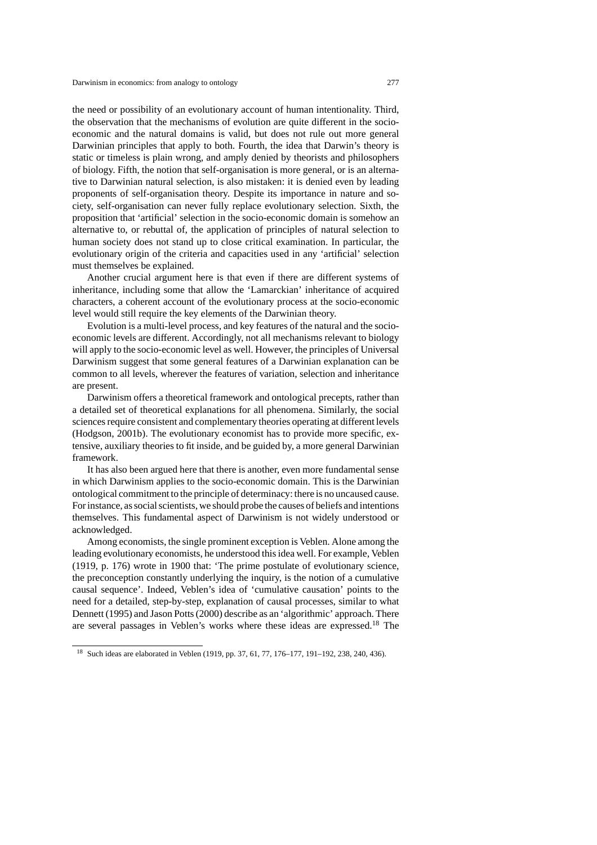the need or possibility of an evolutionary account of human intentionality. Third, the observation that the mechanisms of evolution are quite different in the socioeconomic and the natural domains is valid, but does not rule out more general Darwinian principles that apply to both. Fourth, the idea that Darwin's theory is static or timeless is plain wrong,and amply denied by theorists and philosophers of biology. Fifth, the notion that self-organisation is more general, or is an alternative to Darwinian natural selection, is also mistaken: it is denied even by leading proponents of self-organisation theory. Despite its importance in nature and society, self-organisation can never fully replace evolutionary selection. Sixth, the proposition that 'artificial' selection in the socio-economic domain is somehow an alternative to, or rebuttal of, the application of principles of natural selection to human society does not stand up to close critical examination. In particular, the evolutionary origin of the criteria and capacities used in any 'artificial' selection must themselves be explained.

Another crucial argument here is that even if there are different systems of inheritance, including some that allow the 'Lamarckian' inheritance of acquired characters, a coherent account of the evolutionary process at the socio-economic level would still require the key elements of the Darwinian theory.

Evolution is a multi-level process, and key features of the natural and the socioeconomic levels are different. Accordingly, not all mechanisms relevant to biology will apply to the socio-economic level as well. However, the principles of Universal Darwinism suggest that some general features of a Darwinian explanation can be common to all levels, wherever the features of variation, selection and inheritance are present.

Darwinism offers a theoretical framework and ontological precepts, rather than a detailed set of theoretical explanations for all phenomena. Similarly, the social sciences require consistent and complementary theories operating at different levels (Hodgson, 2001b). The evolutionary economist has to provide more specific, extensive, auxiliary theories to fit inside, and be guided by, a more general Darwinian framework.

It has also been argued here that there is another, even more fundamental sense in which Darwinism applies to the socio-economic domain. This is the Darwinian ontological commitment to the principle of determinacy: there is no uncaused cause. For instance, as social scientists, we should probe the causes of beliefs and intentions themselves. This fundamental aspect of Darwinism is not widely understood or acknowledged.

Among economists, the single prominent exception is Veblen. Alone among the leading evolutionary economists, he understood this idea well. For example, Veblen (1919, p. 176) wrote in 1900 that: 'The prime postulate of evolutionary science, the preconception constantly underlying the inquiry, is the notion of a cumulative causal sequence'. Indeed, Veblen's idea of 'cumulative causation' points to the need for a detailed, step-by-step, explanation of causal processes, similar to what Dennett (1995) and Jason Potts (2000) describe as an 'algorithmic' approach. There are several passages in Veblen's works where these ideas are expressed.<sup>18</sup> The

<sup>&</sup>lt;sup>18</sup> Such ideas are elaborated in Veblen (1919, pp. 37, 61, 77, 176–177, 191–192, 238, 240, 436).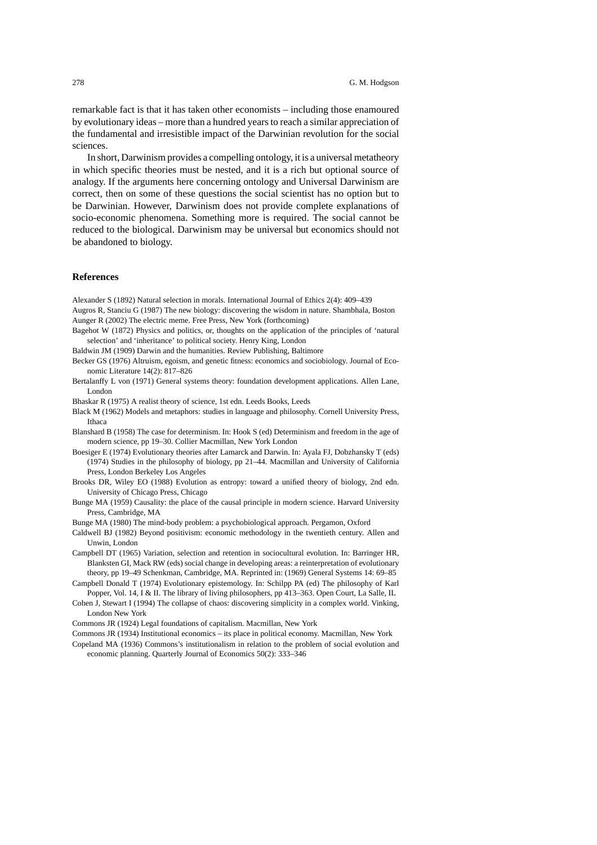remarkable fact is that it has taken other economists – including those enamoured by evolutionary ideas – more than a hundred years to reach a similar appreciation of the fundamental and irresistible impact of the Darwinian revolution for the social sciences.

In short, Darwinism provides a compelling ontology, it is a universal metatheory in which specific theories must be nested, and it is a rich but optional source of analogy. If the arguments here concerning ontology and Universal Darwinism are correct, then on some of these questions the social scientist has no option but to be Darwinian. However, Darwinism does not provide complete explanations of socio-economic phenomena. Something more is required. The social cannot be reduced to the biological. Darwinism may be universal but economics should not be abandoned to biology.

### **References**

Alexander S (1892) Natural selection in morals. International Journal of Ethics 2(4): 409–439

Augros R, Stanciu G (1987) The new biology: discovering the wisdom in nature. Shambhala, Boston Aunger R (2002) The electric meme. Free Press, New York (forthcoming)

- Bagehot W (1872) Physics and politics, or, thoughts on the application of the principles of 'natural selection' and 'inheritance' to political society. Henry King, London
- Baldwin JM (1909) Darwin and the humanities. Review Publishing, Baltimore
- Becker GS (1976) Altruism, egoism, and genetic fitness: economics and sociobiology. Journal of Economic Literature 14(2): 817–826
- Bertalanffy L von (1971) General systems theory: foundation development applications. Allen Lane, London

Bhaskar R (1975) A realist theory of science, 1st edn. Leeds Books, Leeds

- Black M (1962) Models and metaphors: studies in language and philosophy. Cornell University Press, Ithaca
- Blanshard B (1958) The case for determinism. In: Hook S (ed) Determinism and freedom in the age of modern science, pp 19–30. Collier Macmillan, New York London
- Boesiger E (1974) Evolutionary theories after Lamarck and Darwin. In: Ayala FJ,Dobzhansky T (eds)  $(1974)$  Studies in the philosophy of biology, pp 21–44. Macmillan and University of California Press,London Berkeley Los Angeles
- Brooks DR, Wiley EO (1988) Evolution as entropy: toward a unified theory of biology, 2nd edn. University of Chicago Press, Chicago
- Bunge MA (1959) Causality: the place of the causal principle in modern science. Harvard University Press, Cambridge, MA
- Bunge MA (1980) The mind-body problem: a psychobiological approach. Pergamon, Oxford
- Caldwell BJ (1982) Beyond positivism: economic methodology in the twentieth century. Allen and Unwin,London
- Campbell DT (1965) Variation, selection and retention in sociocultural evolution. In: Barringer HR, Blanksten GI,Mack RW (eds) social change in developing areas: a reinterpretation of evolutionary theory, pp 19–49 Schenkman, Cambridge, MA. Reprinted in: (1969) General Systems 14: 69–85
- Campbell Donald T (1974) Evolutionary epistemology. In: Schilpp PA (ed) The philosophy of Karl Popper, Vol. 14, I & II. The library of living philosophers, pp 413–363. Open Court, La Salle, IL
- Cohen J, Stewart I (1994) The collapse of chaos: discovering simplicity in a complex world. Vinking, London New York
- Commons JR (1924) Legal foundations of capitalism. Macmillan, New York
- Commons JR (1934) Institutional economics its place in political economy. Macmillan, New York
- Copeland MA (1936) Commons's institutionalism in relation to the problem of social evolution and economic planning. Quarterly Journal of Economics 50(2): 333–346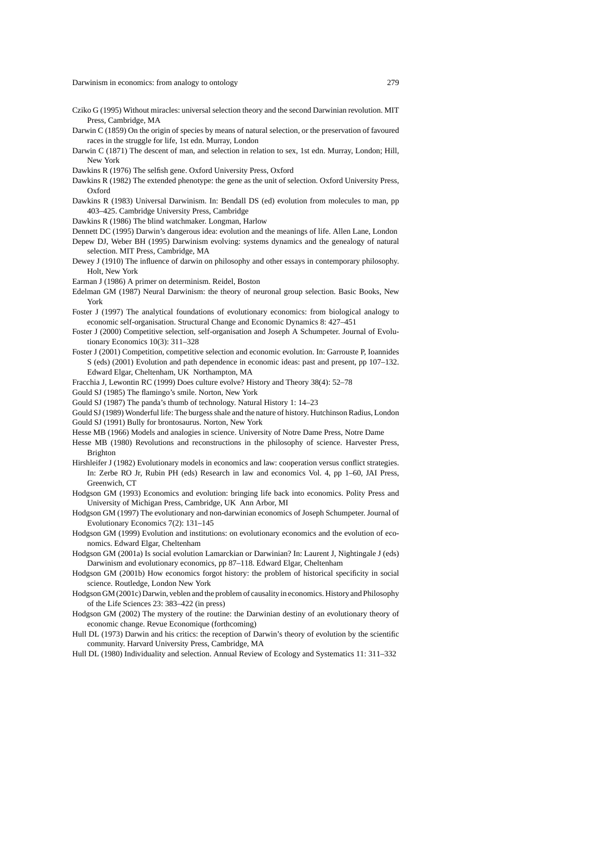- Cziko G (1995) Without miracles: universal selection theory and the second Darwinian revolution. MIT Press, Cambridge, MA
- Darwin C (1859) On the origin of species by means of natural selection, or the preservation of favoured races in the struggle for life,1st edn. Murray,London
- Darwin C (1871) The descent of man, and selection in relation to sex, 1st edn. Murray, London; Hill, New York
- Dawkins R (1976) The selfish gene. Oxford University Press, Oxford
- Dawkins R (1982) The extended phenotype: the gene as the unit of selection. Oxford University Press, Oxford
- Dawkins R (1983) Universal Darwinism. In: Bendall DS (ed) evolution from molecules to man, pp 403-425. Cambridge University Press, Cambridge
- Dawkins R (1986) The blind watchmaker. Longman, Harlow
- Dennett DC (1995) Darwin's dangerous idea: evolution and the meanings of life. Allen Lane, London
- Depew DJ, Weber BH (1995) Darwinism evolving: systems dynamics and the genealogy of natural selection. MIT Press, Cambridge, MA
- Dewey J (1910) The influence of darwin on philosophy and other essays in contemporary philosophy. Holt, New York
- Earman J (1986) A primer on determinism. Reidel, Boston
- Edelman GM (1987) Neural Darwinism: the theory of neuronal group selection. Basic Books, New York
- Foster J (1997) The analytical foundations of evolutionary economics: from biological analogy to economic self-organisation. Structural Change and Economic Dynamics 8: 427–451
- Foster J (2000) Competitive selection, self-organisation and Joseph A Schumpeter. Journal of Evolutionary Economics 10(3): 311–328
- Foster J (2001) Competition, competitive selection and economic evolution. In: Garrouste P, Ioannides S (eds) (2001) Evolution and path dependence in economic ideas: past and present, pp 107–132. Edward Elgar, Cheltenham, UK Northampton, MA
- Fracchia J,Lewontin RC (1999) Does culture evolve? History and Theory 38(4): 52–78
- Gould SJ (1985) The flamingo's smile. Norton, New York
- Gould SJ (1987) The panda's thumb of technology. Natural History 1: 14–23
- Gould SJ (1989) Wonderful life: The burgess shale and the nature of history. Hutchinson Radius,London Gould SJ (1991) Bully for brontosaurus. Norton, New York
- Hesse MB (1966) Models and analogies in science. University of Notre Dame Press, Notre Dame
- Hesse MB (1980) Revolutions and reconstructions in the philosophy of science. Harvester Press, Brighton
- Hirshleifer J (1982) Evolutionary models in economics and law: cooperation versus conflict strategies. In: Zerbe RO Jr, Rubin PH (eds) Research in law and economics Vol. 4, pp 1–60, JAI Press, Greenwich, CT
- Hodgson GM (1993) Economics and evolution: bringing life back into economics. Polity Press and University of Michigan Press, Cambridge, UK Ann Arbor, MI
- Hodgson GM (1997) The evolutionary and non-darwinian economics of Joseph Schumpeter. Journal of Evolutionary Economics 7(2): 131–145
- Hodgson GM (1999) Evolution and institutions: on evolutionary economics and the evolution of economics. Edward Elgar, Cheltenham
- Hodgson GM (2001a) Is social evolution Lamarckian or Darwinian? In: Laurent J, Nightingale J (eds) Darwinism and evolutionary economics, pp 87–118. Edward Elgar, Cheltenham
- Hodgson GM (2001b) How economics forgot history: the problem of historical specificity in social science. Routledge, London New York
- Hodgson GM (2001c) Darwin, veblen and the problem of causality in economics. History and Philosophy of the Life Sciences 23: 383–422 (in press)
- Hodgson GM (2002) The mystery of the routine: the Darwinian destiny of an evolutionary theory of economic change. Revue Economique (forthcoming)
- Hull DL (1973) Darwin and his critics: the reception of Darwin's theory of evolution by the scientific community. Harvard University Press, Cambridge, MA
- Hull DL (1980) Individuality and selection. Annual Review of Ecology and Systematics 11: 311–332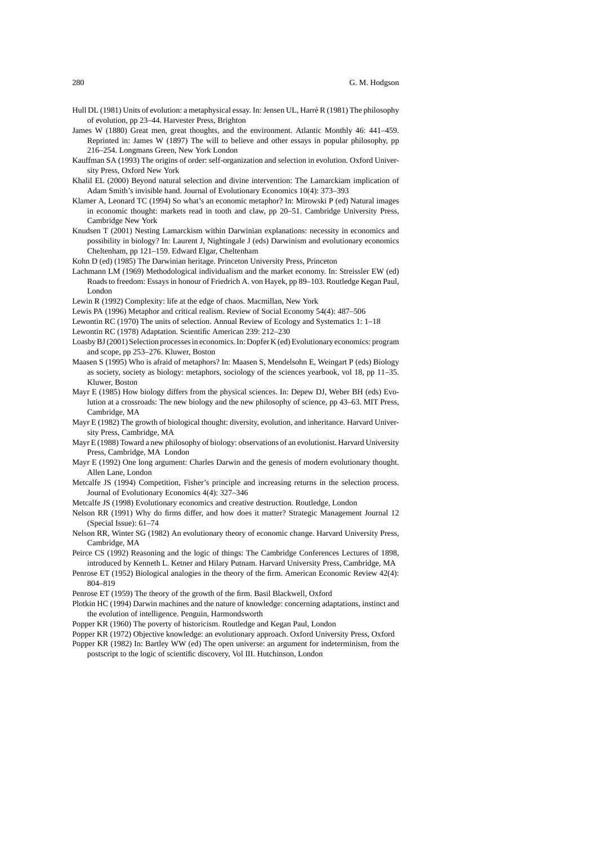- Hull DL (1981) Units of evolution: a metaphysical essay. In: Jensen UL, Harré R (1981) The philosophy of evolution, pp 23–44. Harvester Press, Brighton
- James W (1880) Great men, great thoughts, and the environment. Atlantic Monthly 46: 441–459. Reprinted in: James W (1897) The will to believe and other essays in popular philosophy, pp 216–254. Longmans Green, New York London
- Kauffman SA (1993) The origins of order: self-organization and selection in evolution. Oxford University Press, Oxford New York
- Khalil EL (2000) Beyond natural selection and divine intervention: The Lamarckiam implication of Adam Smith's invisible hand. Journal of Evolutionary Economics 10(4): 373–393
- Klamer A,Leonard TC (1994) So what's an economic metaphor? In: Mirowski P (ed) Natural images in economic thought: markets read in tooth and claw, pp 20–51. Cambridge University Press, Cambridge New York
- Knudsen T (2001) Nesting Lamarckism within Darwinian explanations: necessity in economics and possibility in biology? In: Laurent J,Nightingale J (eds) Darwinism and evolutionary economics Cheltenham, pp 121-159. Edward Elgar, Cheltenham
- Kohn D (ed) (1985) The Darwinian heritage. Princeton University Press, Princeton
- Lachmann LM (1969) Methodological individualism and the market economy. In: Streissler EW (ed) Roads to freedom: Essays in honour of Friedrich A. von Hayek, pp 89-103. Routledge Kegan Paul, London
- Lewin R (1992) Complexity: life at the edge of chaos. Macmillan, New York
- Lewis PA (1996) Metaphor and critical realism. Review of Social Economy 54(4): 487–506
- Lewontin RC (1970) The units of selection. Annual Review of Ecology and Systematics 1: 1–18
- Lewontin RC (1978) Adaptation. Scientific American 239: 212–230
- Loasby BJ (2001) Selection processes in economics. In: Dopfer K (ed) Evolutionary economics: program and scope, pp 253–276. Kluwer, Boston
- Maasen S (1995) Who is afraid of metaphors? In: Maasen S, Mendelsohn E, Weingart P (eds) Biology as society, society as biology: metaphors, sociology of the sciences yearbook, vol 18, pp 11–35. Kluwer, Boston
- Mayr E (1985) How biology differs from the physical sciences. In: Depew DJ, Weber BH (eds) Evolution at a crossroads: The new biology and the new philosophy of science,  $pp$  43–63. MIT Press, Cambridge, MA
- Mayr E (1982) The growth of biological thought: diversity,evolution,and inheritance. Harvard University Press, Cambridge, MA
- Mayr E (1988) Toward a new philosophy of biology: observations of an evolutionist. Harvard University Press, Cambridge, MA London
- Mayr E (1992) One long argument: Charles Darwin and the genesis of modern evolutionary thought. Allen Lane, London
- Metcalfe JS (1994) Competition, Fisher's principle and increasing returns in the selection process. Journal of Evolutionary Economics 4(4): 327–346
- Metcalfe JS (1998) Evolutionary economics and creative destruction. Routledge,London
- Nelson RR (1991) Why do firms differ, and how does it matter? Strategic Management Journal 12 (Special Issue): 61–74
- Nelson RR,Winter SG (1982) An evolutionary theory of economic change. Harvard University Press, Cambridge, MA
- Peirce CS (1992) Reasoning and the logic of things: The Cambridge Conferences Lectures of 1898, introduced by Kenneth L. Ketner and Hilary Putnam. Harvard University Press, Cambridge, MA
- Penrose ET (1952) Biological analogies in the theory of the firm. American Economic Review 42(4): 804–819
- Penrose ET (1959) The theory of the growth of the firm. Basil Blackwell, Oxford
- Plotkin HC (1994) Darwin machines and the nature of knowledge: concerning adaptations, instinct and the evolution of intelligence. Penguin, Harmondsworth
- Popper KR (1960) The poverty of historicism. Routledge and Kegan Paul, London
- Popper KR (1972) Objective knowledge: an evolutionary approach. Oxford University Press, Oxford
- Popper KR (1982) In: Bartley WW (ed) The open universe: an argument for indeterminism, from the postscript to the logic of scientific discovery, Vol III. Hutchinson, London